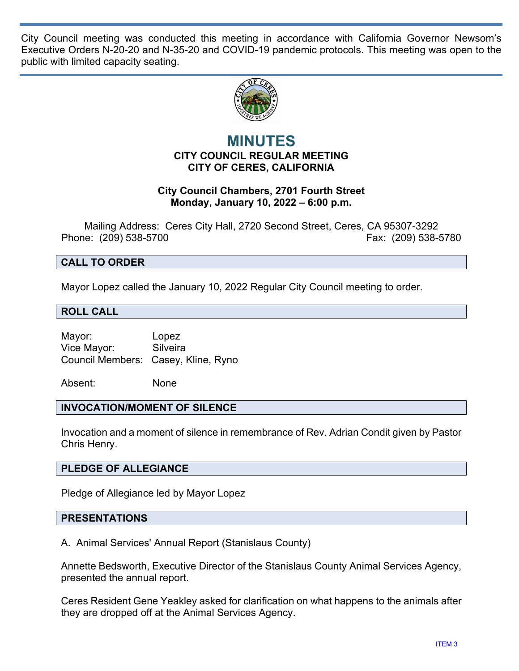City Council meeting was conducted this meeting in accordance with California Governor Newsom's Executive Orders N-20-20 and N-35-20 and COVID-19 pandemic protocols. This meeting was open to the public with limited capacity seating.



# **MINUTES CITY COUNCIL REGULAR MEETING CITY OF CERES, CALIFORNIA**

### **City Council Chambers, 2701 Fourth Street Monday, January 10, 2022 – 6:00 p.m.**

Mailing Address: Ceres City Hall, 2720 Second Street, Ceres, CA 95307-3292 Phone: (209) 538-5700 Fax: (209) 538-5780

### **CALL TO ORDER**

Mayor Lopez called the January 10, 2022 Regular City Council meeting to order.

#### **ROLL CALL**

Mayor: Lopez Vice Mayor: Silveira Council Members: Casey, Kline, Ryno

Absent: None

### **INVOCATION/MOMENT OF SILENCE**

Invocation and a moment of silence in remembrance of Rev. Adrian Condit given by Pastor Chris Henry.

### **PLEDGE OF ALLEGIANCE**

Pledge of Allegiance led by Mayor Lopez

### **PRESENTATIONS**

A. Animal Services' Annual Report (Stanislaus County)

Annette Bedsworth, Executive Director of the Stanislaus County Animal Services Agency, presented the annual report.

Ceres Resident Gene Yeakley asked for clarification on what happens to the animals after they are dropped off at the Animal Services Agency.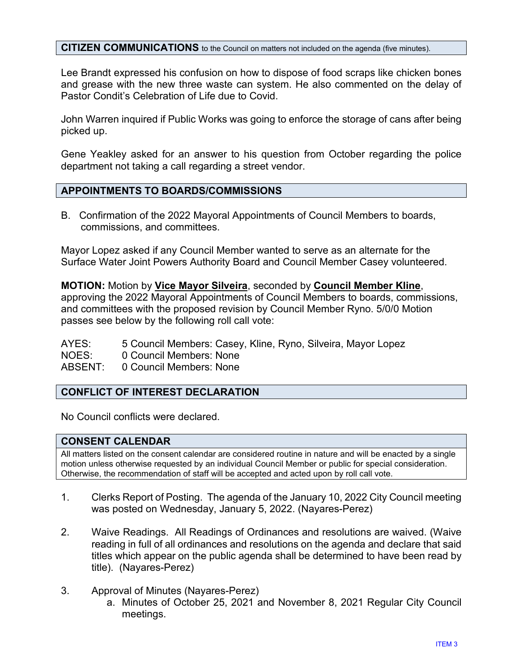#### **CITIZEN COMMUNICATIONS** to the Council on matters not included on the agenda (five minutes).

Lee Brandt expressed his confusion on how to dispose of food scraps like chicken bones and grease with the new three waste can system. He also commented on the delay of Pastor Condit's Celebration of Life due to Covid.

John Warren inquired if Public Works was going to enforce the storage of cans after being picked up.

Gene Yeakley asked for an answer to his question from October regarding the police department not taking a call regarding a street vendor.

#### **APPOINTMENTS TO BOARDS/COMMISSIONS**

B. Confirmation of the 2022 Mayoral Appointments of Council Members to boards, commissions, and committees.

Mayor Lopez asked if any Council Member wanted to serve as an alternate for the Surface Water Joint Powers Authority Board and Council Member Casey volunteered.

**MOTION:** Motion by **Vice Mayor Silveira**, seconded by **Council Member Kline**, approving the 2022 Mayoral Appointments of Council Members to boards, commissions, and committees with the proposed revision by Council Member Ryno. 5/0/0 Motion passes see below by the following roll call vote:

- AYES: 5 Council Members: Casey, Kline, Ryno, Silveira, Mayor Lopez
- NOES: 0 Council Members: None
- ABSENT: 0 Council Members: None

### **CONFLICT OF INTEREST DECLARATION**

No Council conflicts were declared.

#### **CONSENT CALENDAR**

All matters listed on the consent calendar are considered routine in nature and will be enacted by a single motion unless otherwise requested by an individual Council Member or public for special consideration. Otherwise, the recommendation of staff will be accepted and acted upon by roll call vote.

- 1. Clerks Report of Posting. The agenda of the January 10, 2022 City Council meeting was posted on Wednesday, January 5, 2022. (Nayares-Perez)
- 2. Waive Readings. All Readings of Ordinances and resolutions are waived. (Waive reading in full of all ordinances and resolutions on the agenda and declare that said titles which appear on the public agenda shall be determined to have been read by title). (Nayares-Perez)
- 3. Approval of Minutes (Nayares-Perez)
	- a. Minutes of October 25, 2021 and November 8, 2021 Regular City Council meetings.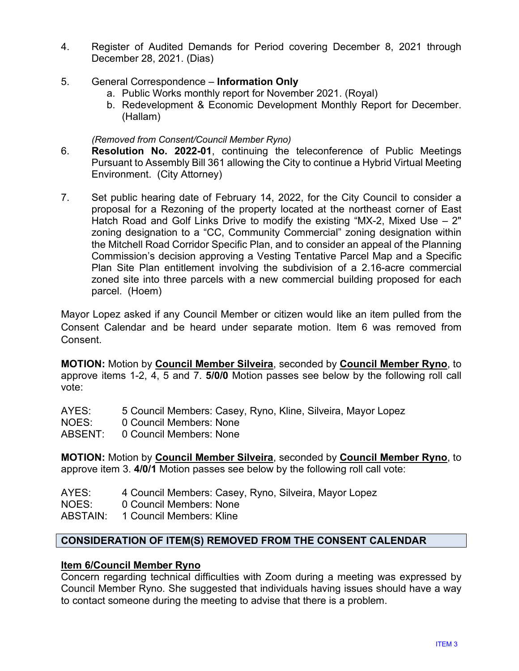- 4. Register of Audited Demands for Period covering December 8, 2021 through December 28, 2021. (Dias)
- 5. General Correspondence **Information Only**
	- a. Public Works monthly report for November 2021. (Royal)
	- b. Redevelopment & Economic Development Monthly Report for December. (Hallam)

#### *(Removed from Consent/Council Member Ryno)*

- 6. **Resolution No. 2022-01**, continuing the teleconference of Public Meetings Pursuant to Assembly Bill 361 allowing the City to continue a Hybrid Virtual Meeting Environment. (City Attorney)
- 7. Set public hearing date of February 14, 2022, for the City Council to consider a proposal for a Rezoning of the property located at the northeast corner of East Hatch Road and Golf Links Drive to modify the existing "MX-2, Mixed Use – 2" zoning designation to a "CC, Community Commercial" zoning designation within the Mitchell Road Corridor Specific Plan, and to consider an appeal of the Planning Commission's decision approving a Vesting Tentative Parcel Map and a Specific Plan Site Plan entitlement involving the subdivision of a 2.16-acre commercial zoned site into three parcels with a new commercial building proposed for each parcel. (Hoem)

Mayor Lopez asked if any Council Member or citizen would like an item pulled from the Consent Calendar and be heard under separate motion. Item 6 was removed from Consent.

**MOTION:** Motion by **Council Member Silveira**, seconded by **Council Member Ryno**, to approve items 1-2, 4, 5 and 7. **5/0/0** Motion passes see below by the following roll call vote:

- AYES: 5 Council Members: Casey, Ryno, Kline, Silveira, Mayor Lopez
- NOES: 0 Council Members: None
- ABSENT: 0 Council Members: None

**MOTION:** Motion by **Council Member Silveira**, seconded by **Council Member Ryno**, to approve item 3. **4/0/1** Motion passes see below by the following roll call vote:

- AYES: 4 Council Members: Casey, Ryno, Silveira, Mayor Lopez
- NOES: 0 Council Members: None

ABSTAIN: 1 Council Members: Kline

# **CONSIDERATION OF ITEM(S) REMOVED FROM THE CONSENT CALENDAR**

### **Item 6/Council Member Ryno**

Concern regarding technical difficulties with Zoom during a meeting was expressed by Council Member Ryno. She suggested that individuals having issues should have a way to contact someone during the meeting to advise that there is a problem.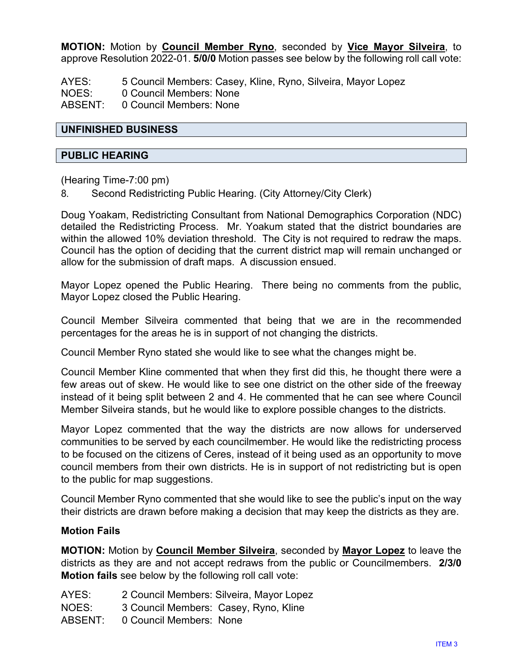**MOTION:** Motion by **Council Member Ryno**, seconded by **Vice Mayor Silveira**, to approve Resolution 2022-01. **5/0/0** Motion passes see below by the following roll call vote:

AYES: 5 Council Members: Casey, Kline, Ryno, Silveira, Mayor Lopez NOES: 0 Council Members: None

ABSENT: 0 Council Members: None

#### **UNFINISHED BUSINESS**

#### **PUBLIC HEARING**

(Hearing Time-7:00 pm)

8. Second Redistricting Public Hearing. (City Attorney/City Clerk)

Doug Yoakam, Redistricting Consultant from National Demographics Corporation (NDC) detailed the Redistricting Process. Mr. Yoakum stated that the district boundaries are within the allowed 10% deviation threshold. The City is not required to redraw the maps. Council has the option of deciding that the current district map will remain unchanged or allow for the submission of draft maps. A discussion ensued.

Mayor Lopez opened the Public Hearing. There being no comments from the public, Mayor Lopez closed the Public Hearing.

Council Member Silveira commented that being that we are in the recommended percentages for the areas he is in support of not changing the districts.

Council Member Ryno stated she would like to see what the changes might be.

Council Member Kline commented that when they first did this, he thought there were a few areas out of skew. He would like to see one district on the other side of the freeway instead of it being split between 2 and 4. He commented that he can see where Council Member Silveira stands, but he would like to explore possible changes to the districts.

Mayor Lopez commented that the way the districts are now allows for underserved communities to be served by each councilmember. He would like the redistricting process to be focused on the citizens of Ceres, instead of it being used as an opportunity to move council members from their own districts. He is in support of not redistricting but is open to the public for map suggestions.

Council Member Ryno commented that she would like to see the public's input on the way their districts are drawn before making a decision that may keep the districts as they are.

### **Motion Fails**

**MOTION:** Motion by **Council Member Silveira**, seconded by **Mayor Lopez** to leave the districts as they are and not accept redraws from the public or Councilmembers. **2/3/0 Motion fails** see below by the following roll call vote:

- AYES: 2 Council Members: Silveira, Mayor Lopez
- NOES: 3 Council Members: Casey, Ryno, Kline
- ABSENT: 0 Council Members: None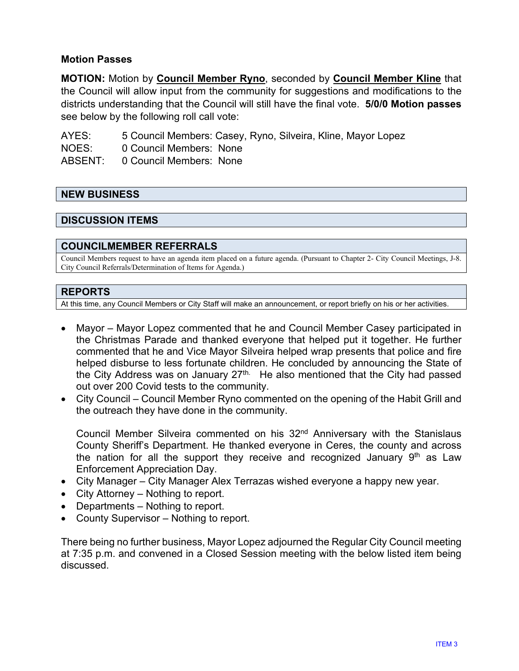### **Motion Passes**

**MOTION:** Motion by **Council Member Ryno**, seconded by **Council Member Kline** that the Council will allow input from the community for suggestions and modifications to the districts understanding that the Council will still have the final vote. **5/0/0 Motion passes** see below by the following roll call vote:

AYES: 5 Council Members: Casey, Ryno, Silveira, Kline, Mayor Lopez

NOES: 0 Council Members: None

ABSENT: 0 Council Members: None

# **NEW BUSINESS**

### **DISCUSSION ITEMS**

### **COUNCILMEMBER REFERRALS**

Council Members request to have an agenda item placed on a future agenda. (Pursuant to Chapter 2- City Council Meetings, J-8. City Council Referrals/Determination of Items for Agenda.)

### **REPORTS**

At this time, any Council Members or City Staff will make an announcement, or report briefly on his or her activities.

- Mayor Mayor Lopez commented that he and Council Member Casey participated in the Christmas Parade and thanked everyone that helped put it together. He further commented that he and Vice Mayor Silveira helped wrap presents that police and fire helped disburse to less fortunate children. He concluded by announcing the State of the City Address was on January  $27<sup>th</sup>$ . He also mentioned that the City had passed out over 200 Covid tests to the community.
- City Council Council Member Ryno commented on the opening of the Habit Grill and the outreach they have done in the community.

Council Member Silveira commented on his 32<sup>nd</sup> Anniversary with the Stanislaus County Sheriff's Department. He thanked everyone in Ceres, the county and across the nation for all the support they receive and recognized January  $9<sup>th</sup>$  as Law Enforcement Appreciation Day.

- City Manager City Manager Alex Terrazas wished everyone a happy new year.
- City Attorney Nothing to report.
- Departments Nothing to report.
- County Supervisor Nothing to report.

There being no further business, Mayor Lopez adjourned the Regular City Council meeting at 7:35 p.m. and convened in a Closed Session meeting with the below listed item being discussed.